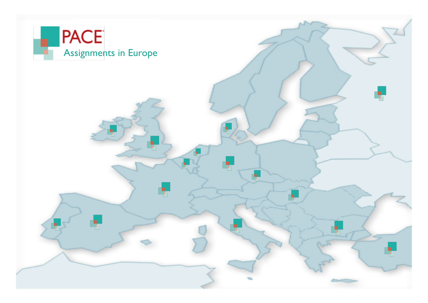